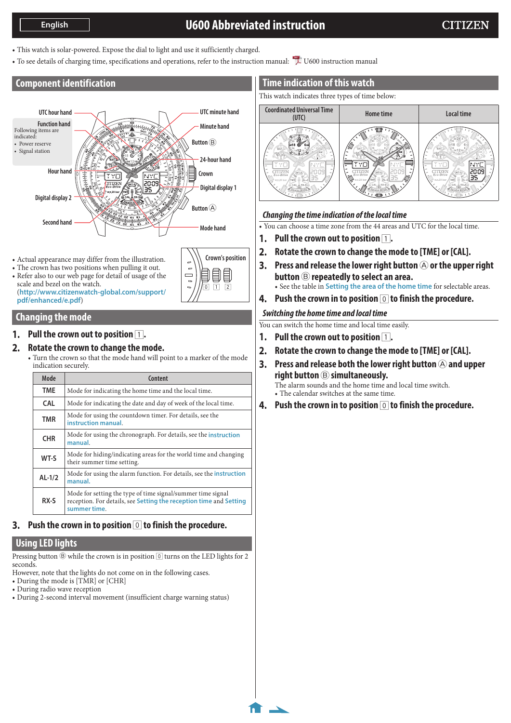# **U600 Abbreviated instruction**

**1/4**

- <span id="page-0-0"></span>• This watch is solar-powered. Expose the dial to light and use it sufficiently charged.
- To see details of charging time, specifications and operations, refer to the instruction manual: L[U600 instruction manual](http://www.citizenwatch-global.com/support/pdf/u600/e.pdf)

**Crown's position**

E

 $\boxed{1}$   $\boxed{2}$ 

 $\Box$ 

# **Component identification**



- Actual appearance may differ from the illustration.
- The crown has two positions when pulling it out.
- Refer also to our web page for detail of usage of the scale and bezel on the watch. (**http://www.citizenwatch-global.com/support/ pdf/enhanced/e.pdf**)

# **Changing the mode**

### **1.** Pull the crown out to position  $\boxed{1}$ .

### **2. Rotate the crown to change the mode.**

• Turn the crown so that the mode hand will point to a marker of the mode indication securely.

| Mode       | Content                                                                                                                                           |
|------------|---------------------------------------------------------------------------------------------------------------------------------------------------|
| <b>TME</b> | Mode for indicating the home time and the local time.                                                                                             |
| <b>CAL</b> | Mode for indicating the date and day of week of the local time.                                                                                   |
| <b>TMR</b> | Mode for using the countdown timer. For details, see the<br>instruction manual.                                                                   |
| <b>CHR</b> | Mode for using the chronograph. For details, see the instruction<br>manual.                                                                       |
| WT-S       | Mode for hiding/indicating areas for the world time and changing<br>their summer time setting.                                                    |
| $AL-1/2$   | Mode for using the alarm function. For details, see the <b>instruction</b><br>manual.                                                             |
| RX-S       | Mode for setting the type of time signal/summer time signal<br>reception. For details, see Setting the reception time and Setting<br>summer time. |

## **3.** Push the crown in to position  $\boxed{0}$  to finish the procedure.

# **Using LED lights**

Pressing button  $\circledR$  while the crown is in position  $\circledR$  turns on the LED lights for 2 seconds.

- However, note that the lights do not come on in the following cases.
- During the mode is [TMR] or [CHR]
- During radio wave reception
- During 2-second interval movement (insufficient charge warning status)

# **Time indication of this watch**

This watch indicates three types of time below:



## *Changing the time indication of the local time*

• You can choose a time zone from the 44 areas and UTC for the local time.

- **1.** Pull the crown out to position  $\boxed{1}$ .
- **2. Rotate the crown to change the mode to [TME] or [CAL].**
- **3.** Press and release the lower right button  $\bigcirc$  or the upper right **button** B **repeatedly to select an area.** • See the table in **[Setting the area of the home time](#page-1-0)** for selectable areas.
- **4. Push the crown in to position** 0 **to finish the procedure.**

### *Switching the home time and local time*

You can switch the home time and local time easily.

- **1.** Pull the crown out to position  $\boxed{1}$ .
- **2. Rotate the crown to change the mode to [TME] or [CAL].**
- **3.** Press and release both the lower right button  $\bigcirc$  and upper **right button** B **simultaneously.** The alarm sounds and the home time and local time switch. • The calendar switches at the same time.
- **4. Push the crown in to position** 0 **to finish the procedure.**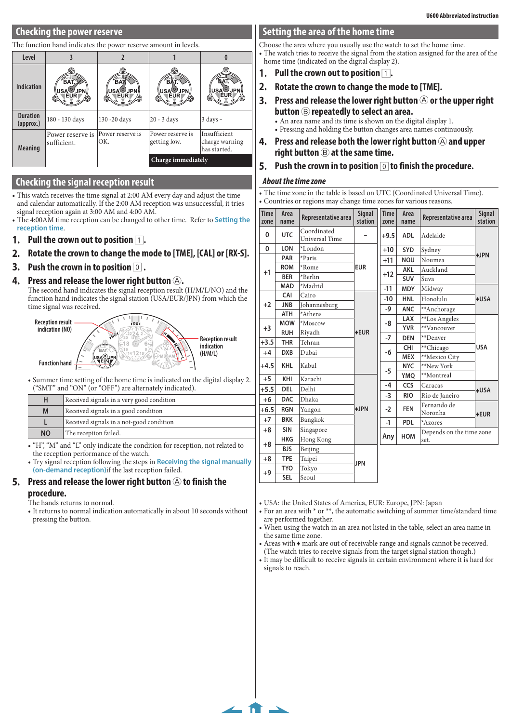## **Checking the power reserve**

#### The function hand indicates the power reserve amount in levels.

| Level                        |                                 |                                    |                                                     |                                                |  |
|------------------------------|---------------------------------|------------------------------------|-----------------------------------------------------|------------------------------------------------|--|
| <b>Indication</b>            | BA1<br>USA®JPN.<br><b>EUR</b>   | BA<br>USA <sup>©</sup> JPN∤<br>ÉUR | в<br><b>USA<sup>O</sup>JPN</b><br><b>EUR</b><br>ſО. | ∖USA <sup>©U</sup> JPN,<br>∕⊚                  |  |
| <b>Duration</b><br>(approx.) | 180 - 130 days                  | 130 -20 days                       | $20 - 3$ days                                       | $3$ days $-$                                   |  |
| <b>Meaning</b>               | Power reserve is<br>sufficient. | Power reserve is<br>OK.            | Power reserve is<br>getting low.                    | Insufficient<br>charge warning<br>has started. |  |
|                              |                                 |                                    | Charge immediately                                  |                                                |  |

### **Checking the signal reception result**

- This watch receives the time signal at 2:00 AM every day and adjust the time and calendar automatically. If the 2:00 AM reception was unsuccessful, it tries signal reception again at 3:00 AM and 4:00 AM.
- The 4:00AM time reception can be changed to other time. Refer to **[Setting the](#page-2-0)  [reception time](#page-2-0)**.
- **1.** Pull the crown out to position  $\boxed{1}$ .
- **2. Rotate the crown to change the mode to [TME], [CAL] or [RX-S].**
- **3. Push the crown in to position**  $\boxed{0}$ **.**
- **4.** Press and release the lower right button  $\textcircled{A}$ .

The second hand indicates the signal reception result (H/M/L/NO) and the function hand indicates the signal station (USA/EUR/JPN) from which the time signal was received.



• Summer time setting of the home time is indicated on the digital display 2. ("SMT" and "ON" (or "OFF") are alternately indicated).

| н                                         | Received signals in a very good condition |  |
|-------------------------------------------|-------------------------------------------|--|
| Received signals in a good condition<br>M |                                           |  |
| Received signals in a not-good condition  |                                           |  |
| The reception failed.<br><b>NO</b>        |                                           |  |
|                                           |                                           |  |

• "H", "M" and "L" only indicate the condition for reception, not related to the reception performance of the watch.

• Try signal reception following the steps in **[Receiving the signal manually](#page-2-2)  [\(on-demand reception\)](#page-2-2)**if the last reception failed.

#### **5.** Press and release the lower right button  $\circledA$  to finish the **procedure.**

- The hands returns to normal.
- It returns to normal indication automatically in about 10 seconds without pressing the button.

### <span id="page-1-0"></span>**Setting the area of the home time**

Choose the area where you usually use the watch to set the home time. • The watch tries to receive the signal from the station assigned for the area of the home time (indicated on the digital display 2).

- **1.** Pull the crown out to position  $\boxed{1}$ .
- **2. Rotate the crown to change the mode to [TME].**
- **3.** Press and release the lower right button  $\widehat{A}$  or the upper right **button** B **repeatedly to select an area.**

• An area name and its time is shown on the digital display 1.

- Pressing and holding the button changes area names continuously.
- **4.** Press and release both the lower right button  $\Theta$  and upper **right button** B **at the same time.**

### **5. Push the crown in to position** 0 **to finish the procedure.**

#### *About the time zone*

• The time zone in the table is based on UTC (Coordinated Universal Time). • Countries or regions may change time zones for various reasons.

| <b>Time</b><br>zone | Area<br>name          | Representative area                  | Signal<br>station | <b>Time</b><br>zone | Area<br>name  | Representative area      | Signal<br>station |
|---------------------|-----------------------|--------------------------------------|-------------------|---------------------|---------------|--------------------------|-------------------|
| 0                   | <b>UTC</b>            | Coordinated<br><b>Universal Time</b> |                   | $+9.5$              | <b>ADL</b>    | Adelaide                 |                   |
| 0                   | <b>LON</b>            | *London                              |                   | $+10$               | SYD           | Sydney                   |                   |
|                     | <b>PAR</b>            | *Paris                               |                   | $+11$               | <b>NOU</b>    | Noumea                   | $+$ JPN           |
| $+1$                | <b>ROM</b>            | *Rome                                | <b>EUR</b>        |                     | <b>AKL</b>    | Auckland                 |                   |
|                     | <b>BER</b>            | *Berlin                              |                   | $+12$               | <b>SUV</b>    | Suva                     |                   |
|                     | <b>MAD</b>            | *Madrid                              |                   | $-11$               | <b>MDY</b>    | Midway                   |                   |
|                     | CAI                   | Cairo                                |                   | -10                 | <b>HNL</b>    | Honolulu                 | $\triangle$ USA   |
| $+2$                | <b>JNB</b>            | Johannesburg                         |                   | -9                  | <b>ANC</b>    | **Anchorage              |                   |
|                     | <b>ATH</b>            | *Athens                              |                   |                     | LAX           | **Los Angeles            |                   |
| $+3$                | <b>MOW</b>            | *Moscow                              |                   | -8                  | <b>YVR</b>    | **Vancouver              |                   |
|                     | <b>RUH</b>            | Riyadh                               | $+EUR$            | $-7$                | <b>DEN</b>    | **Denver                 |                   |
| $+3.5$              | <b>THR</b>            | Tehran                               | -6                | <b>CHI</b>          | **Chicago     | <b>USA</b>               |                   |
| $+4$                | <b>DXB</b>            | Dubai                                |                   | <b>MEX</b>          | **Mexico City |                          |                   |
| $+4.5$              | <b>KHL</b>            | Kabul                                |                   | <b>NYC</b>          | **New York    |                          |                   |
| $+5$                | KHI                   | Karachi                              |                   | $-5$                |               | **Montreal               |                   |
|                     | <b>DEL</b>            | Delhi                                |                   | -4                  | <b>CCS</b>    | Caracas                  |                   |
| $+5.5$              |                       |                                      |                   | $-3$                | <b>RIO</b>    | Rio de Janeiro           | $+USA$            |
| $+6$                | <b>DAC</b>            | Dhaka                                |                   |                     |               | Fernando de              |                   |
| $+6.5$              | <b>RGN</b>            | Yangon                               | $\triangle$ JPN   | $-2$                | <b>FEN</b>    | Noronha                  | <b>◆EUR</b>       |
| $+7$                | <b>BKK</b>            | Bangkok                              |                   | $-1$                | <b>PDL</b>    | *Azores                  |                   |
| $+8$                | <b>SIN</b>            | Singapore                            |                   |                     | HOM           | Depends on the time zone |                   |
| $+8$                | <b>HKG</b>            | Hong Kong                            |                   | Any                 |               | set.                     |                   |
|                     | <b>BJS</b><br>Beijing |                                      |                   |                     |               |                          |                   |
| $+8$                | <b>TPE</b>            | Taipei                               | <b>JPN</b>        |                     |               |                          |                   |
| $+9$                | <b>TYO</b>            | Tokyo                                |                   |                     |               |                          |                   |
|                     | <b>SEL</b>            | Seoul                                |                   |                     |               |                          |                   |

• USA: the United States of America, EUR: Europe, JPN: Japan

**[2/4](#page-0-0)**

- For an area with \* or \*\*, the automatic switching of summer time/standard time are performed together.
- When using the watch in an area not listed in the table, select an area name in the same time zone.
- Areas with ♦ mark are out of receivable range and signals cannot be received. (The watch tries to receive signals from the target signal station though.)
- It may be difficult to receive signals in certain environment where it is hard for signals to reach.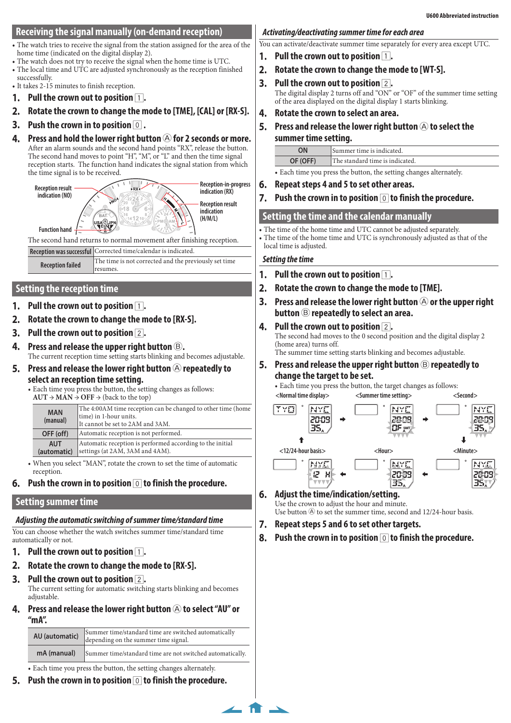## <span id="page-2-2"></span>**Receiving the signal manually (on-demand reception)**

- The watch tries to receive the signal from the station assigned for the area of the home time (indicated on the digital display 2).
- The watch does not try to receive the signal when the home time is UTC.
- The local time and UTC are adjusted synchronously as the reception finished successfully.
- It takes 2-15 minutes to finish reception.
- **1.** Pull the crown out to position  $\boxed{1}$ .
- **2. Rotate the crown to change the mode to [TME], [CAL] or [RX-S].**
- **3. Push the crown in to position** 0 **.**
- **4.** Press and hold the lower right button  $\bigcirc$  for 2 seconds or more. After an alarm sounds and the second hand points "RX", release the button. The second hand moves to point "H", "M", or "L" and then the time signal reception starts. The function hand indicates the signal station from which the time signal is to be received.



# <span id="page-2-0"></span>**Setting the reception time**

- **Pull the crown out to position 1.**
- **2. Rotate the crown to change the mode to [RX-S].**
- **3. Pull the crown out to position** 2**.**
- **4. Press and release the upper right button** B**.** The current reception time setting starts blinking and becomes adjustable.
- **5.** Press and release the lower right button  $\bigcirc$  repeatedly to **select an reception time setting.**
	- Each time you press the button, the setting changes as follows:  $AUT \rightarrow MAN \rightarrow OFF \rightarrow (back to the top)$

|                        | $1101$ , $11111$ , $011$ , $10000$ , $0000$ , $000$ |                                                                                                                            |  |  |
|------------------------|-----------------------------------------------------|----------------------------------------------------------------------------------------------------------------------------|--|--|
| <b>MAN</b><br>(manual) |                                                     | The 4:00AM time reception can be changed to other time (home<br>time) in 1-hour units.<br>It cannot be set to 2AM and 3AM. |  |  |
|                        | OFF (off)                                           | Automatic reception is not performed.                                                                                      |  |  |
|                        | <b>AUT</b><br>(automatic)                           | Automatic reception is performed according to the initial<br>settings (at 2AM, 3AM and 4AM).                               |  |  |
|                        |                                                     |                                                                                                                            |  |  |

- When you select "MAN", rotate the crown to set the time of automatic reception.
- **6. Push the crown in to position** 0 **to finish the procedure.**

# <span id="page-2-1"></span>**Setting summer time**

# *Adjusting the automatic switching of summer time/standard time*

You can choose whether the watch switches summer time/standard time automatically or not.

- **1.** Pull the crown out to position  $\boxed{1}$ .
- **2. Rotate the crown to change the mode to [RX-S].**
- **3. Pull the crown out to position** 2**.**

The current setting for automatic switching starts blinking and becomes adjustable.

**4.** Press and release the lower right button  $\widehat{A}$  to select "AU" or **"mA".**

| AU (automatic)                                                                                                                 | Summer time/standard time are switched automatically<br>depending on the summer time signal. |  |
|--------------------------------------------------------------------------------------------------------------------------------|----------------------------------------------------------------------------------------------|--|
| mA (manual)                                                                                                                    | Summer time/standard time are not switched automatically.                                    |  |
| $\mathbf{r}$ , and $\mathbf{r}$ , and $\mathbf{r}$ , and $\mathbf{r}$ , and $\mathbf{r}$ , and $\mathbf{r}$ , and $\mathbf{r}$ |                                                                                              |  |

- Each time you press the button, the setting changes alternately.
- **5. Push the crown in to position** 0 **to finish the procedure.**

# *Activating/deactivating summer time for each area*

You can activate/deactivate summer time separately for every area except UTC.

- **1.** Pull the crown out to position  $\boxed{1}$ .
- **2. Rotate the crown to change the mode to [WT-S].**
- **3. Pull the crown out to position** 2**.** The digital display 2 turns off and "ON" or "OF" of the summer time setting of the area displayed on the digital display 1 starts blinking.
- **4. Rotate the crown to select an area.**
- **5.** Press and release the lower right button  $\widehat{A}$  to select the **summer time setting.**

| OΝ       | Summer time is indicated.       |
|----------|---------------------------------|
| OF (OFF) | The standard time is indicated. |
|          |                                 |

• Each time you press the button, the setting changes alternately.

- **6. Repeat steps 4 and 5 to set other areas.**
- **7. Push the crown in to position** 0 **to finish the procedure.**

# **Setting the time and the calendar manually**

• The time of the home time and UTC cannot be adjusted separately.

• The time of the home time and UTC is synchronously adjusted as that of the local time is adjusted.

### *Setting the time*

- **1.** Pull the crown out to position  $\boxed{1}$ .
- **2. Rotate the crown to change the mode to [TME].**
- **3.** Press and release the lower right button  $\bigcirc$  or the upper right **button** B **repeatedly to select an area.**
- **4. Pull the crown out to position** 2**.** The second had moves to the 0 second position and the digital display 2 (home area) turns off. The summer time setting starts blinking and becomes adjustable.
- **5.** Press and release the upper right button  $\circledB$  repeatedly to **change the target to be set.**

• Each time you press the button, the target changes as follows:



#### **6. Adjust the time/indication/setting.** Use the crown to adjust the hour and minute.

Use button  $\circledA$  to set the summer time, second and 12/24-hour basis.

**7. Repeat steps 5 and 6 to set other targets.**

**8. Push the crown in to position** 0 **to finish the procedure.**